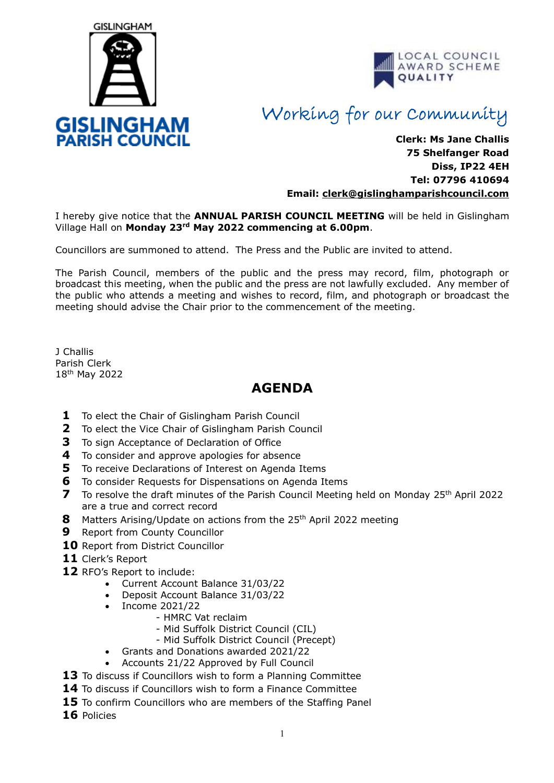



## Working for our Community

**Clerk: Ms Jane Challis 75 Shelfanger Road Diss, IP22 4EH Tel: 07796 410694 Email: clerk[@gislinghamparishcouncil.com](mailto:gislinghamparishcouncil@gmail.com)**

I hereby give notice that the **ANNUAL PARISH COUNCIL MEETING** will be held in Gislingham Village Hall on **Monday 23rd May 2022 commencing at 6.00pm**.

Councillors are summoned to attend. The Press and the Public are invited to attend.

The Parish Council, members of the public and the press may record, film, photograph or broadcast this meeting, when the public and the press are not lawfully excluded. Any member of the public who attends a meeting and wishes to record, film, and photograph or broadcast the meeting should advise the Chair prior to the commencement of the meeting.

J Challis Parish Clerk 18<sup>th</sup> May 2022

## **AGENDA**

- **1** To elect the Chair of Gislingham Parish Council
- **2** To elect the Vice Chair of Gislingham Parish Council
- **3** To sign Acceptance of Declaration of Office
- **4** To consider and approve apologies for absence
- **5** To receive Declarations of Interest on Agenda Items
- **6** To consider Requests for Dispensations on Agenda Items
- **7** To resolve the draft minutes of the Parish Council Meeting held on Monday 25<sup>th</sup> April 2022 are a true and correct record
- **8** Matters Arising/Update on actions from the 25<sup>th</sup> April 2022 meeting
- **9** Report from County Councillor
- **10** Report from District Councillor
- **11** Clerk's Report
- **12** RFO's Report to include:
	- Current Account Balance 31/03/22
	- Deposit Account Balance 31/03/22
	- Income 2021/22
		- HMRC Vat reclaim
		- Mid Suffolk District Council (CIL)
		- Mid Suffolk District Council (Precept)
	- Grants and Donations awarded 2021/22
	- Accounts 21/22 Approved by Full Council
- **13** To discuss if Councillors wish to form a Planning Committee
- **14** To discuss if Councillors wish to form a Finance Committee
- **15** To confirm Councillors who are members of the Staffing Panel
- **16** Policies